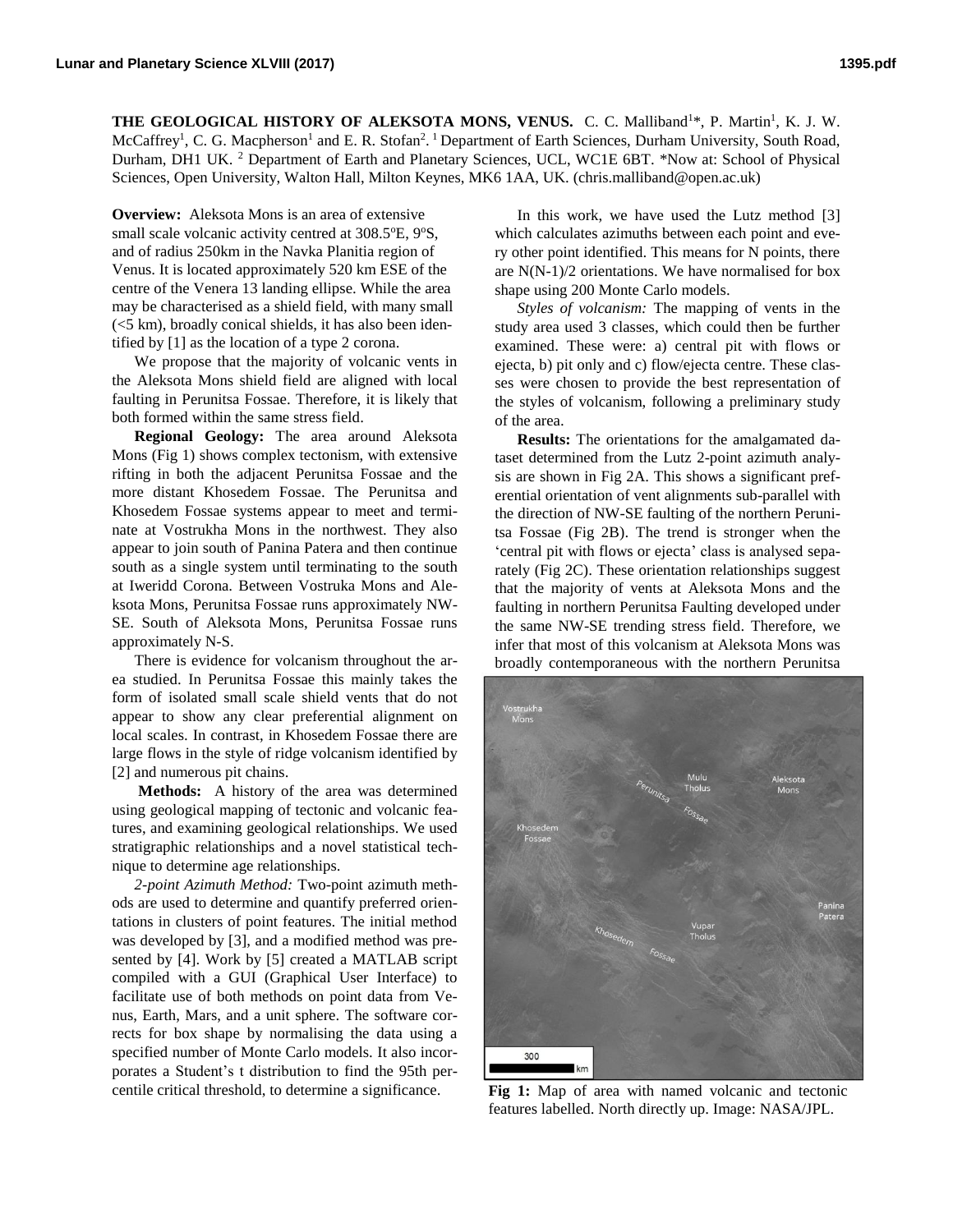**THE GEOLOGICAL HISTORY OF ALEKSOTA MONS, VENUS.** C. C. Malliband<sup>1\*</sup>, P. Martin<sup>1</sup>, K. J. W. McCaffrey<sup>1</sup>, C. G. Macpherson<sup>1</sup> and E. R. Stofan<sup>2</sup>. <sup>1</sup> Department of Earth Sciences, Durham University, South Road, Durham, DH1 UK.<sup>2</sup> Department of Earth and Planetary Sciences, UCL, WC1E 6BT. \*Now at: School of Physical Sciences, Open University, Walton Hall, Milton Keynes, MK6 1AA, UK. (chris.malliband@open.ac.uk)

**Overview:** Aleksota Mons is an area of extensive small scale volcanic activity centred at  $308.5^{\circ}E$ ,  $9^{\circ}S$ , and of radius 250km in the Navka Planitia region of Venus. It is located approximately 520 km ESE of the centre of the Venera 13 landing ellipse. While the area may be characterised as a shield field, with many small (<5 km), broadly conical shields, it has also been identified by [1] as the location of a type 2 corona.

We propose that the majority of volcanic vents in the Aleksota Mons shield field are aligned with local faulting in Perunitsa Fossae. Therefore, it is likely that both formed within the same stress field.

**Regional Geology:** The area around Aleksota Mons (Fig 1) shows complex tectonism, with extensive rifting in both the adjacent Perunitsa Fossae and the more distant Khosedem Fossae. The Perunitsa and Khosedem Fossae systems appear to meet and terminate at Vostrukha Mons in the northwest. They also appear to join south of Panina Patera and then continue south as a single system until terminating to the south at Iweridd Corona. Between Vostruka Mons and Aleksota Mons, Perunitsa Fossae runs approximately NW-SE. South of Aleksota Mons, Perunitsa Fossae runs approximately N-S.

There is evidence for volcanism throughout the area studied. In Perunitsa Fossae this mainly takes the form of isolated small scale shield vents that do not appear to show any clear preferential alignment on local scales. In contrast, in Khosedem Fossae there are large flows in the style of ridge volcanism identified by [2] and numerous pit chains.

**Methods:** A history of the area was determined using geological mapping of tectonic and volcanic features, and examining geological relationships. We used stratigraphic relationships and a novel statistical technique to determine age relationships.

*2-point Azimuth Method:* Two-point azimuth methods are used to determine and quantify preferred orientations in clusters of point features. The initial method was developed by [3], and a modified method was presented by [4]. Work by [5] created a MATLAB script compiled with a GUI (Graphical User Interface) to facilitate use of both methods on point data from Venus, Earth, Mars, and a unit sphere. The software corrects for box shape by normalising the data using a specified number of Monte Carlo models. It also incorporates a Student's t distribution to find the 95th percentile critical threshold, to determine a significance.

In this work, we have used the Lutz method [3] which calculates azimuths between each point and every other point identified. This means for N points, there are N(N-1)/2 orientations. We have normalised for box shape using 200 Monte Carlo models.

*Styles of volcanism:* The mapping of vents in the study area used 3 classes, which could then be further examined. These were: a) central pit with flows or ejecta, b) pit only and c) flow/ejecta centre. These classes were chosen to provide the best representation of the styles of volcanism, following a preliminary study of the area.

**Results:** The orientations for the amalgamated dataset determined from the Lutz 2-point azimuth analysis are shown in Fig 2A. This shows a significant preferential orientation of vent alignments sub-parallel with the direction of NW-SE faulting of the northern Perunitsa Fossae (Fig 2B). The trend is stronger when the 'central pit with flows or ejecta' class is analysed separately (Fig 2C). These orientation relationships suggest that the majority of vents at Aleksota Mons and the faulting in northern Perunitsa Faulting developed under the same NW-SE trending stress field. Therefore, we infer that most of this volcanism at Aleksota Mons was broadly contemporaneous with the northern Perunitsa



**Fig 1:** Map of area with named volcanic and tectonic features labelled. North directly up. Image: NASA/JPL.